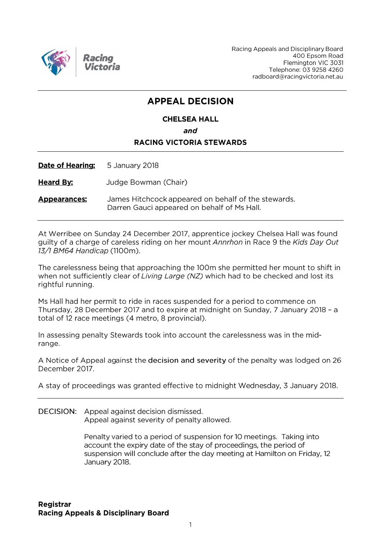

Racing Appeals and Disciplinary Board 400 Epsom Road Flemington VIC 3031 Telephone: 03 9258 4260 radboard@racingvictoria.net.au

## **APPEAL DECISION**

### **CHELSEA HALL** and **RACING VICTORIA STEWARDS**

Date of Hearing: 5 January 2018

**Heard By:** Judge Bowman (Chair)

James Hitchcock appeared on behalf of the stewards. **Appearances:** Darren Gauci appeared on behalf of Ms Hall.

At Werribee on Sunday 24 December 2017, apprentice jockey Chelsea Hall was found guilty of a charge of careless riding on her mount Annrhon in Race 9 the Kids Day Out 13/1 BM64 Handicap (1100m).

The carelessness being that approaching the 100m she permitted her mount to shift in when not sufficiently clear of Living Large (NZ) which had to be checked and lost its rightful running.

Ms Hall had her permit to ride in races suspended for a period to commence on Thursday, 28 December 2017 and to expire at midnight on Sunday, 7 January 2018 - a total of 12 race meetings (4 metro, 8 provincial).

In assessing penalty Stewards took into account the carelessness was in the midrange.

A Notice of Appeal against the decision and severity of the penalty was lodged on 26 December 2017.

A stay of proceedings was granted effective to midnight Wednesday, 3 January 2018.

DECISION: Appeal against decision dismissed. Appeal against severity of penalty allowed.

> Penalty varied to a period of suspension for 10 meetings. Taking into account the expiry date of the stay of proceedings, the period of suspension will conclude after the day meeting at Hamilton on Friday, 12 January 2018.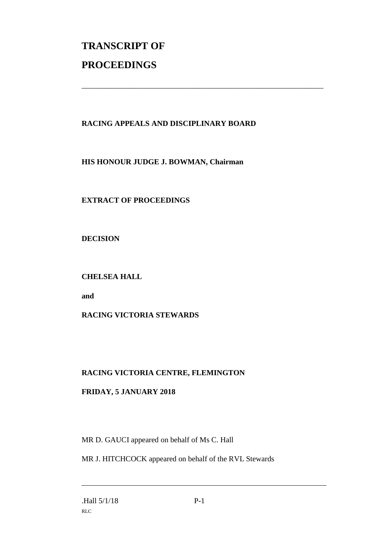# **TRANSCRIPT OF PROCEEDINGS**

#### **RACING APPEALS AND DISCIPLINARY BOARD**

\_\_\_\_\_\_\_\_\_\_\_\_\_\_\_\_\_\_\_\_\_\_\_\_\_\_\_\_\_\_\_\_\_\_\_\_\_\_\_\_\_\_\_\_\_\_\_\_\_\_\_\_\_\_\_\_\_\_\_\_\_\_\_

**HIS HONOUR JUDGE J. BOWMAN, Chairman**

**EXTRACT OF PROCEEDINGS**

**DECISION**

#### **CHELSEA HALL**

**and**

#### **RACING VICTORIA STEWARDS**

#### **RACING VICTORIA CENTRE, FLEMINGTON**

#### **FRIDAY, 5 JANUARY 2018**

MR D. GAUCI appeared on behalf of Ms C. Hall

MR J. HITCHCOCK appeared on behalf of the RVL Stewards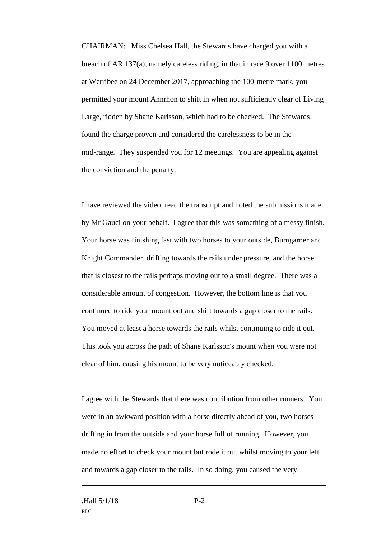CHAIRMAN: Miss Chelsea Hall, the Stewards have charged you with a breach of AR 137(a), namely careless riding, in that in race 9 over 1100 metres at Werribee on 24 December 2017, approaching the 100-metre mark, you permitted your mount Annrhon to shift in when not sufficiently clear of Living Large, ridden by Shane Karlsson, which had to be checked. The Stewards found the charge proven and considered the carelessness to be in the mid-range. They suspended you for 12 meetings. You are appealing against the conviction and the penalty.

I have reviewed the video, read the transcript and noted the submissions made by Mr Gauci on your behalf. I agree that this was something of a messy finish. Your horse was finishing fast with two horses to your outside, Bumgarner and Knight Commander, drifting towards the rails under pressure, and the horse that is closest to the rails perhaps moving out to a small degree. There was a considerable amount of congestion. However, the bottom line is that you continued to ride your mount out and shift towards a gap closer to the rails. You moved at least a horse towards the rails whilst continuing to ride it out. This took you across the path of Shane Karlsson's mount when you were not clear of him, causing his mount to be very noticeably checked.

I agree with the Stewards that there was contribution from other runners. You were in an awkward position with a horse directly ahead of you, two horses drifting in from the outside and your horse full of running. However, you made no effort to check your mount but rode it out whilst moving to your left and towards a gap closer to the rails. In so doing, you caused the very